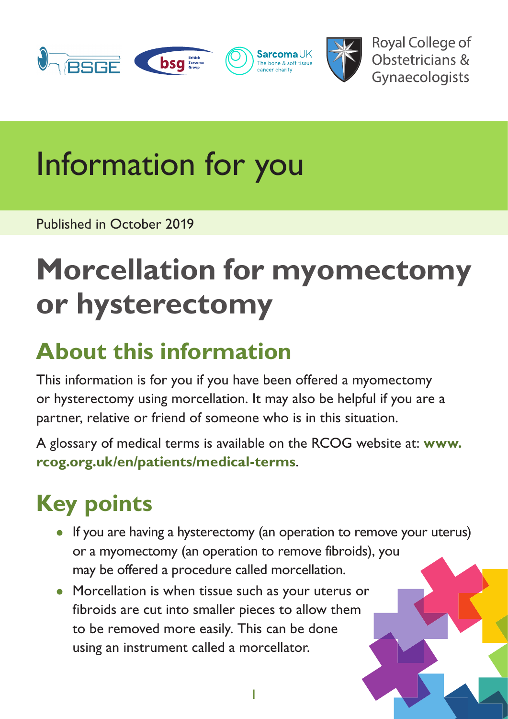

**Royal College of** Obstetricians & Gynaecologists

# Information for you

Published in October 2019

# **Morcellation for myomectomy or hysterectomy**

#### **About this information**

This information is for you if you have been offered a myomectomy or hysterectomy using morcellation. It may also be helpful if you are a partner, relative or friend of someone who is in this situation.

A glossary of medical terms is available on the RCOG website at: **[www.](https://www.rcog.org.uk/en/patients/medical-terms) [rcog.org.uk/en/patients/medical-terms](https://www.rcog.org.uk/en/patients/medical-terms)**.

### **Key points**

• If you are having a hysterectomy (an operation to remove your uterus) or a myomectomy (an operation to remove fibroids), you may be offered a procedure called morcellation.

1

• Morcellation is when tissue such as your uterus or fibroids are cut into smaller pieces to allow them to be removed more easily. This can be done using an instrument called a morcellator.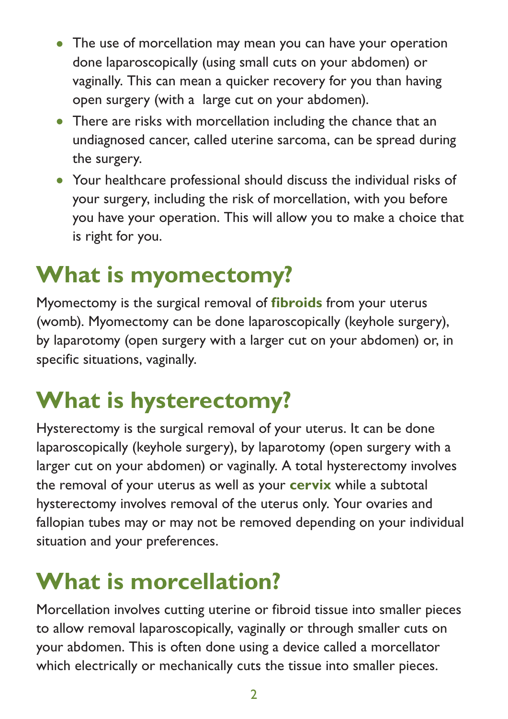- The use of morcellation may mean you can have your operation done laparoscopically (using small cuts on your abdomen) or vaginally. This can mean a quicker recovery for you than having open surgery (with a large cut on your abdomen).
- There are risks with morcellation including the chance that an undiagnosed cancer, called uterine sarcoma, can be spread during the surgery.
- Your healthcare professional should discuss the individual risks of your surgery, including the risk of morcellation, with you before you have your operation. This will allow you to make a choice that is right for you.

#### **What is myomectomy?**

Myomectomy is the surgical removal of **[fibroids](https://www.rcog.org.uk/en/patients/medical-terms#f)** from your uterus (womb). Myomectomy can be done laparoscopically (keyhole surgery), by laparotomy (open surgery with a larger cut on your abdomen) or, in specific situations, vaginally.

#### **What is hysterectomy?**

Hysterectomy is the surgical removal of your uterus. It can be done laparoscopically (keyhole surgery), by laparotomy (open surgery with a larger cut on your abdomen) or vaginally. A total hysterectomy involves the removal of your uterus as well as your **cervix** while a subtotal hysterectomy involves removal of the uterus only. Your ovaries and fallopian tubes may or may not be removed depending on your individual situation and your preferences.

#### **What is morcellation?**

Morcellation involves cutting uterine or fibroid tissue into smaller pieces to allow removal laparoscopically, vaginally or through smaller cuts on your abdomen. This is often done using a device called a morcellator which electrically or mechanically cuts the tissue into smaller pieces.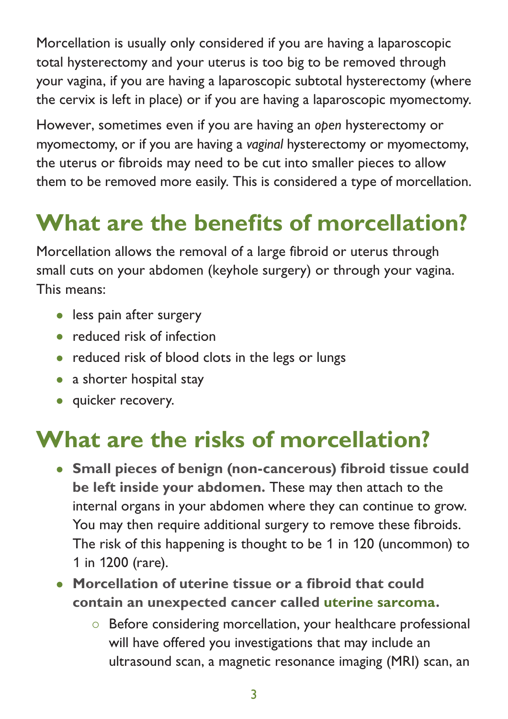Morcellation is usually only considered if you are having a laparoscopic total hysterectomy and your uterus is too big to be removed through your vagina, if you are having a laparoscopic subtotal hysterectomy (where the cervix is left in place) or if you are having a laparoscopic myomectomy.

However, sometimes even if you are having an *open* hysterectomy or myomectomy, or if you are having a *vaginal* hysterectomy or myomectomy, the uterus or fibroids may need to be cut into smaller pieces to allow them to be removed more easily. This is considered a type of morcellation.

### **What are the benefits of morcellation?**

Morcellation allows the removal of a large fibroid or uterus through small cuts on your abdomen (keyhole surgery) or through your vagina. This means:

- less pain after surgery
- reduced risk of infection
- reduced risk of blood clots in the legs or lungs
- a shorter hospital stay
- quicker recovery.

#### **What are the risks of morcellation?**

- **Small pieces of benign (non-cancerous) fibroid tissue could be left inside your abdomen.** These may then attach to the internal organs in your abdomen where they can continue to grow. You may then require additional surgery to remove these fibroids. The risk of this happening is thought to be 1 in 120 (uncommon) to 1 in 1200 (rare).
- **Morcellation of uterine tissue or a fibroid that could contain an unexpected cancer called [uterine sarcoma.](https://www.rcog.org.uk/en/patients/medical-terms#u)**
	- { Before considering morcellation, your healthcare professional will have offered you investigations that may include an ultrasound scan, a magnetic resonance imaging (MRI) scan, an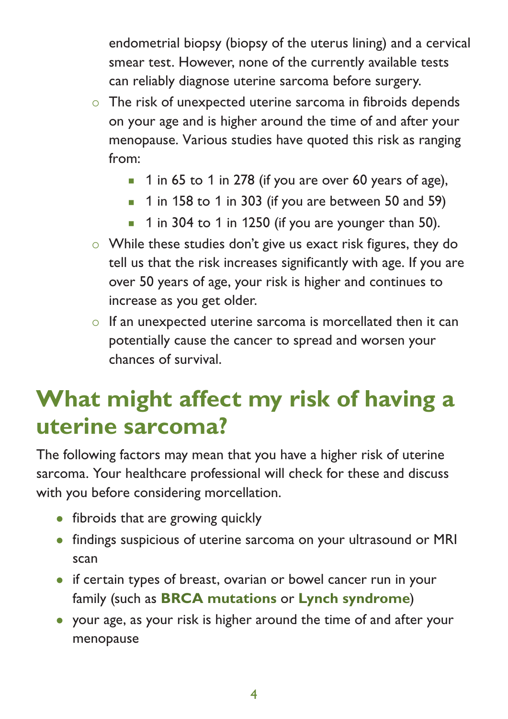endometrial biopsy (biopsy of the uterus lining) and a cervical smear test. However, none of the currently available tests can reliably diagnose uterine sarcoma before surgery.

- $\circ$  The risk of unexpected uterine sarcoma in fibroids depends on your age and is higher around the time of and after your menopause. Various studies have quoted this risk as ranging from:
	- $\blacksquare$  1 in 65 to 1 in 278 (if you are over 60 years of age),
	- $\blacksquare$  1 in 158 to 1 in 303 (if you are between 50 and 59)
	- 1 in 304 to 1 in 1250 (if you are younger than 50).
- { While these studies don't give us exact risk figures, they do tell us that the risk increases significantly with age. If you are over 50 years of age, your risk is higher and continues to increase as you get older.
- $\circ$  If an unexpected uterine sarcoma is morcellated then it can potentially cause the cancer to spread and worsen your chances of survival.

#### **What might affect my risk of having a uterine sarcoma?**

The following factors may mean that you have a higher risk of uterine sarcoma. Your healthcare professional will check for these and discuss with you before considering morcellation.

- fibroids that are growing quickly
- findings suspicious of uterine sarcoma on your ultrasound or MRI scan
- if certain types of breast, ovarian or bowel cancer run in your family (such as **[BRCA mutations](https://www.rcog.org.uk/en/patients/medical-terms#b)** or **[Lynch syndrome](https://www.rcog.org.uk/en/patients/medical-terms#l)**)
- your age, as your risk is higher around the time of and after your menopause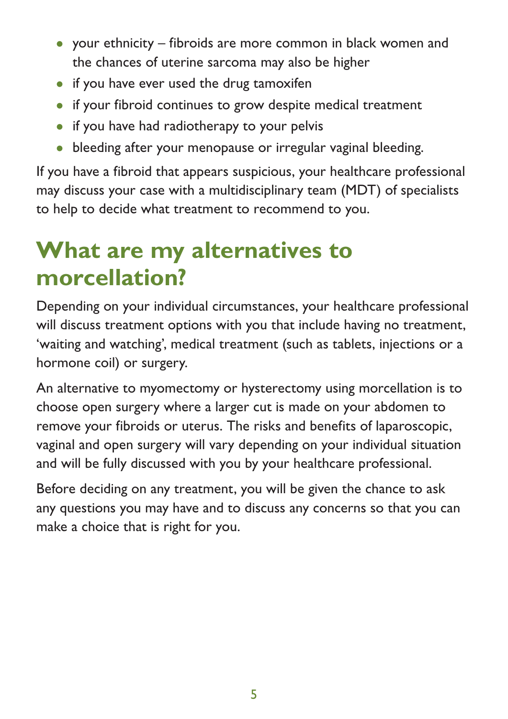- your ethnicity fibroids are more common in black women and the chances of uterine sarcoma may also be higher
- if you have ever used the drug tamoxifen
- if your fibroid continues to grow despite medical treatment
- if you have had radiotherapy to your pelvis
- bleeding after your menopause or irregular vaginal bleeding.

If you have a fibroid that appears suspicious, your healthcare professional may discuss your case with a multidisciplinary team (MDT) of specialists to help to decide what treatment to recommend to you.

#### **What are my alternatives to morcellation?**

Depending on your individual circumstances, your healthcare professional will discuss treatment options with you that include having no treatment, 'waiting and watching', medical treatment (such as tablets, injections or a hormone coil) or surgery.

An alternative to myomectomy or hysterectomy using morcellation is to choose open surgery where a larger cut is made on your abdomen to remove your fibroids or uterus. The risks and benefits of laparoscopic, vaginal and open surgery will vary depending on your individual situation and will be fully discussed with you by your healthcare professional.

Before deciding on any treatment, you will be given the chance to ask any questions you may have and to discuss any concerns so that you can make a choice that is right for you.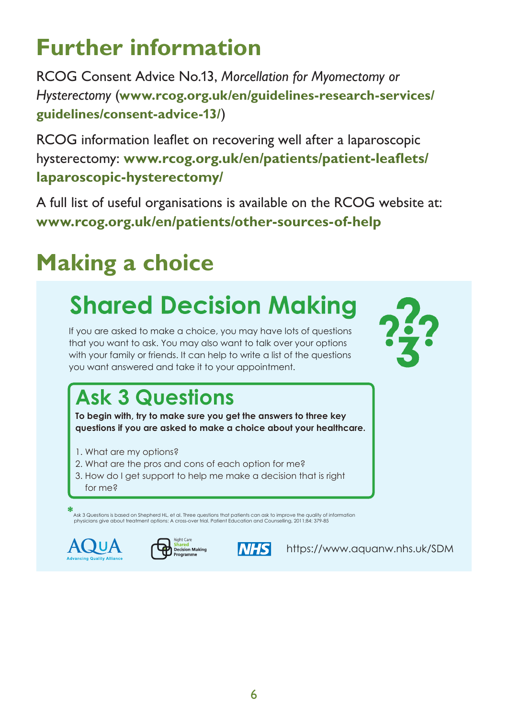#### 6

# **Further information**

RCOG Consent Advice No.13, *Morcellation for Myomectomy or Hysterectomy* (**[www.rcog.org.uk/en/guidelines-research-services/](https://www.rcog.org.uk/en/guidelines-research-services/guidelines/consent-advice-13/) [guidelines/consent-advice-](https://www.rcog.org.uk/en/guidelines-research-services/guidelines/consent-advice-13/)13/**)

RCOG information leaflet on recovering well after a laparoscopic hysterectomy: **[www.rcog.org.uk/en/patients/patient-leaflets/](https://www.rcog.org.uk/en/patients/patient-leaflets/laparoscopic-hysterectomy/) [laparoscopic-hysterectomy/](https://www.rcog.org.uk/en/patients/patient-leaflets/laparoscopic-hysterectomy/)**

A full list of useful organisations is available on the RCOG website at: **[www.rcog.org.uk/en/patients/other-sources-of-help](https://www.rcog.org.uk/en/patients/other-sources-of-help/)**

## **Making a choice**

## **Shared Decision Making**

If you are asked to make a choice, you may have lots of questions that you want to ask. You may also want to talk over your options with your family or friends. It can help to write a list of the questions you want answered and take it to your appointment.

### **Ask 3 Questions**

**To begin with, try to make sure you get the answers to three key questions if you are asked to make a choice about your healthcare.**

- 1. What are my options?
- 2. What are the pros and cons of each option for me?
- 3. How do I get support to help me make a decision that is right for me?

**\***Ask <sup>3</sup> Questions is based on Shepherd HL, et al. Three questions that patients can ask to improve the quality of information physicians give about treatment options: A cross-over trial. Patient Education and Counselling, 2011;84: 379-85







<https://www.aquanw.nhs.uk/SDM>